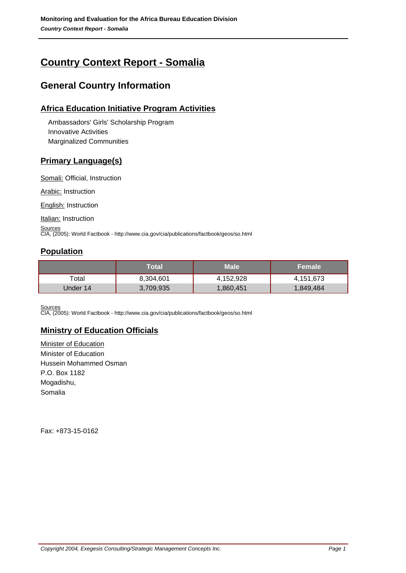# **Country Context Report - Somalia**

# **General Country Information**

## **Africa Education Initiative Program Activities**

 Ambassadors' Girls' Scholarship Program Innovative Activities Marginalized Communities

## **Primary Language(s)**

Somali: Official, Instruction

Arabic: Instruction

English: Instruction

Italian: Instruction

**Sources** CIA, (2005): World Factbook - http://www.cia.gov/cia/publications/factbook/geos/so.html

## **Population**

|          | Total     | <b>Male</b> | <b>Female</b> |
|----------|-----------|-------------|---------------|
| Total    | 8,304,601 | 4,152,928   | 4,151,673     |
| Under 14 | 3,709,935 | 1,860,451   | 1,849,484     |

**Sources** 

CIA, (2005): World Factbook - http://www.cia.gov/cia/publications/factbook/geos/so.html

## **Ministry of Education Officials**

Minister of Education Minister of Education Hussein Mohammed Osman P.O. Box 1182 Mogadishu, Somalia

Fax: +873-15-0162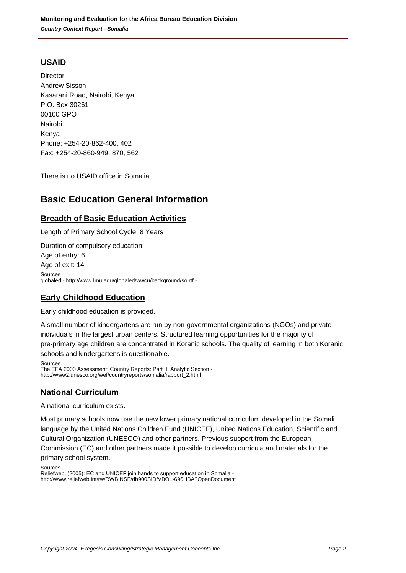## **USAID**

**Director** Andrew Sisson Kasarani Road, Nairobi, Kenya P.O. Box 30261 00100 GPO Nairobi Kenya Phone: +254-20-862-400, 402 Fax: +254-20-860-949, 870, 562

There is no USAID office in Somalia.

## **Basic Education General Information**

## **Breadth of Basic Education Activities**

Length of Primary School Cycle: 8 Years Duration of compulsory education: Age of entry: 6 Age of exit: 14 **Sources** globaled - http://www.Imu.edu/globaled/wwcu/background/so.rtf -

## **Early Childhood Education**

Early childhood education is provided.

A small number of kindergartens are run by non-governmental organizations (NGOs) and private individuals in the largest urban centers. Structured learning opportunities for the majority of pre-primary age children are concentrated in Koranic schools. The quality of learning in both Koranic schools and kindergartens is questionable.

**Sources** The EFA 2000 Assessment: Country Reports: Part II: Analytic Section http://www2.unesco.org/wef/countryreports/somalia/rapport\_2.html

## **National Curriculum**

A national curriculum exists.

Most primary schools now use the new lower primary national curriculum developed in the Somali language by the United Nations Children Fund (UNICEF), United Nations Education, Scientific and Cultural Organization (UNESCO) and other partners. Previous support from the European Commission (EC) and other partners made it possible to develop curricula and materials for the primary school system.

Sources

Reliefweb, (2005): EC and UNICEF join hands to support education in Somalia http://www.reliefweb.int/rw/RWB.NSF/db900SID/VBOL-696HBA?OpenDocument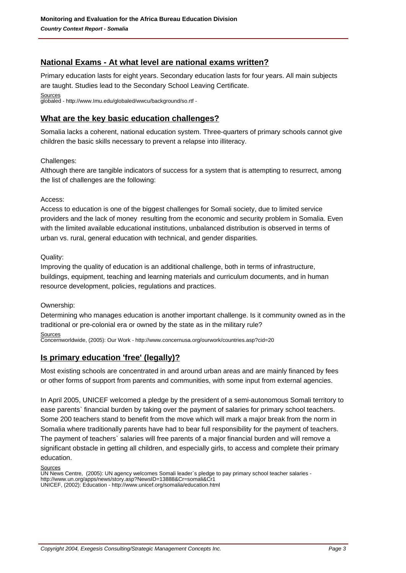## **National Exams - At what level are national exams written?**

Primary education lasts for eight years. Secondary education lasts for four years. All main subjects are taught. Studies lead to the Secondary School Leaving Certificate. Sources globaled - http://www.Imu.edu/globaled/wwcu/background/so.rtf -

### **What are the key basic education challenges?**

Somalia lacks a coherent, national education system. Three-quarters of primary schools cannot give children the basic skills necessary to prevent a relapse into illiteracy.

#### Challenges:

Although there are tangible indicators of success for a system that is attempting to resurrect, among the list of challenges are the following:

#### Access:

Access to education is one of the biggest challenges for Somali society, due to limited service providers and the lack of money resulting from the economic and security problem in Somalia. Even with the limited available educational institutions, unbalanced distribution is observed in terms of urban vs. rural, general education with technical, and gender disparities.

#### Quality:

Improving the quality of education is an additional challenge, both in terms of infrastructure, buildings, equipment, teaching and learning materials and curriculum documents, and in human resource development, policies, regulations and practices.

#### Ownership:

Determining who manages education is another important challenge. Is it community owned as in the traditional or pre-colonial era or owned by the state as in the military rule?

### **Sources**

Concernworldwide, (2005): Our Work - http://www.concernusa.org/ourwork/countries.asp?cid=20

### **Is primary education 'free' (legally)?**

Most existing schools are concentrated in and around urban areas and are mainly financed by fees or other forms of support from parents and communities, with some input from external agencies.

In April 2005, UNICEF welcomed a pledge by the president of a semi-autonomous Somali territory to ease parents` financial burden by taking over the payment of salaries for primary school teachers. Some 200 teachers stand to benefit from the move which will mark a major break from the norm in Somalia where traditionally parents have had to bear full responsibility for the payment of teachers. The payment of teachers` salaries will free parents of a major financial burden and will remove a significant obstacle in getting all children, and especially girls, to access and complete their primary education.

Sources

UN News Centre, (2005): UN agency welcomes Somali leader`s pledge to pay primary school teacher salaries http://www.un.org/apps/news/story.asp?NewsID=13888&Cr=somali&Cr1 UNICEF, (2002): Education - http://www.unicef.org/somalia/education.html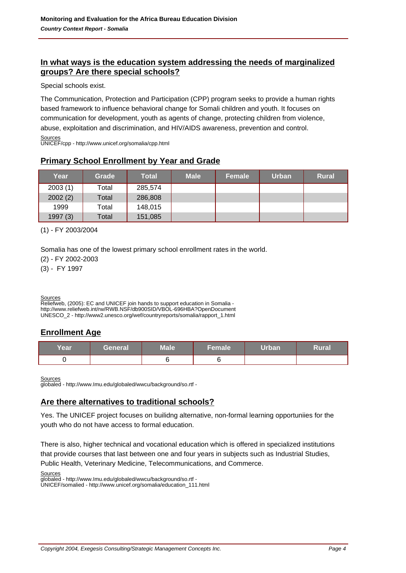## **In what ways is the education system addressing the needs of marginalized groups? Are there special schools?**

Special schools exist.

The Communication, Protection and Participation (CPP) program seeks to provide a human rights based framework to influence behavioral change for Somali children and youth. It focuses on communication for development, youth as agents of change, protecting children from violence, abuse, exploitation and discrimination, and HIV/AIDS awareness, prevention and control.

Sources UNICEF/cpp - http://www.unicef.org/somalia/cpp.html

## **Primary School Enrollment by Year and Grade**

| Year    | Grade | <b>Total</b> | <b>Male</b> | Female | Urban | <b>Rural</b> |
|---------|-------|--------------|-------------|--------|-------|--------------|
| 2003(1) | Total | 285,574      |             |        |       |              |
| 2002(2) | Total | 286,808      |             |        |       |              |
| 1999    | Total | 148,015      |             |        |       |              |
| 1997(3) | Total | 151,085      |             |        |       |              |

(1) - FY 2003/2004

Somalia has one of the lowest primary school enrollment rates in the world.

(2) - FY 2002-2003

(3) - FY 1997

**Sources** 

Reliefweb, (2005): EC and UNICEF join hands to support education in Somalia http://www.reliefweb.int/rw/RWB.NSF/db900SID/VBOL-696HBA?OpenDocument UNESCO\_2 - http://www2.unesco.org/wef/countryreports/somalia/rapport\_1.html

## **Enrollment Age**

| Year | General | <b>Male</b> | <b>Female</b> | <b>Urban</b> | <b>Rural</b> |
|------|---------|-------------|---------------|--------------|--------------|
|      |         |             |               |              |              |

**Sources** 

globaled - http://www.Imu.edu/globaled/wwcu/background/so.rtf -

## **Are there alternatives to traditional schools?**

Yes. The UNICEF project focuses on builidng alternative, non-formal learning opportuniies for the youth who do not have access to formal education.

There is also, higher technical and vocational education which is offered in specialized institutions that provide courses that last between one and four years in subjects such as Industrial Studies, Public Health, Veterinary Medicine, Telecommunications, and Commerce.

Sources

globaled - http://www.Imu.edu/globaled/wwcu/background/so.rtf - UNICEF/somalied - http://www.unicef.org/somalia/education\_111.html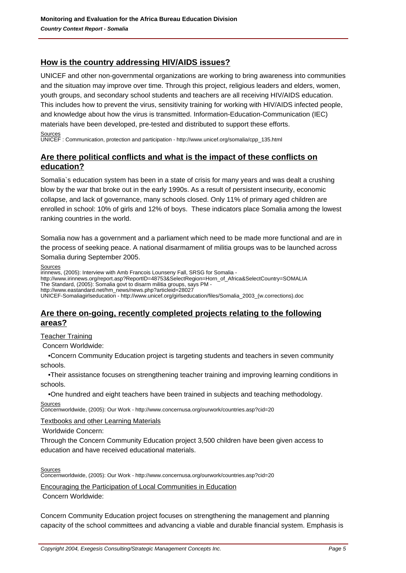## **How is the country addressing HIV/AIDS issues?**

UNICEF and other non-governmental organizations are working to bring awareness into communities and the situation may improve over time. Through this project, religious leaders and elders, women, youth groups, and secondary school students and teachers are all receiving HIV/AIDS education. This includes how to prevent the virus, sensitivity training for working with HIV/AIDS infected people, and knowledge about how the virus is transmitted. Information-Education-Communication (IEC) materials have been developed, pre-tested and distributed to support these efforts. **Sources** 

UNICEF : Communication, protection and participation - http://www.unicef.org/somalia/cpp\_135.html

## **Are there political conflicts and what is the impact of these conflicts on education?**

Somalia`s education system has been in a state of crisis for many years and was dealt a crushing blow by the war that broke out in the early 1990s. As a result of persistent insecurity, economic collapse, and lack of governance, many schools closed. Only 11% of primary aged children are enrolled in school: 10% of girls and 12% of boys. These indicators place Somalia among the lowest ranking countries in the world.

Somalia now has a government and a parliament which need to be made more functional and are in the process of seeking peace. A national disarmament of militia groups was to be launched across Somalia during September 2005.

**Sources** 

irinnews, (2005): Interview with Amb Francois Lounseny Fall, SRSG for Somalia -

- http://www.irinnews.org/report.asp?ReportID=48753&SelectRegion=Horn\_of\_Africa&SelectCountry=SOMALIA
- The Standard, (2005): Somalia govt to disarm militia groups, says PM http://www.eastandard.net/hm\_news/news.php?articleid=28027

UNICEF-Somaliagirlseducation - http://www.unicef.org/girlseducation/files/Somalia\_2003\_(w.corrections).doc

### **Are there on-going, recently completed projects relating to the following areas?**

Teacher Training

Concern Worldwide:

 • Concern Community Education project is targeting students and teachers in seven community schools.

• Their assistance focuses on strengthening teacher training and improving learning conditions in schools.

• One hundred and eight teachers have been trained in subjects and teaching methodology.

**Sources** Concernworldwide, (2005): Our Work - http://www.concernusa.org/ourwork/countries.asp?cid=20

Textbooks and other Learning Materials

Worldwide Concern:

Through the Concern Community Education project 3,500 children have been given access to education and have received educational materials.

**Sources** 

Concernworldwide, (2005): Our Work - http://www.concernusa.org/ourwork/countries.asp?cid=20

Encouraging the Participation of Local Communities in Education

Concern Worldwide:

Concern Community Education project focuses on strengthening the management and planning capacity of the school committees and advancing a viable and durable financial system. Emphasis is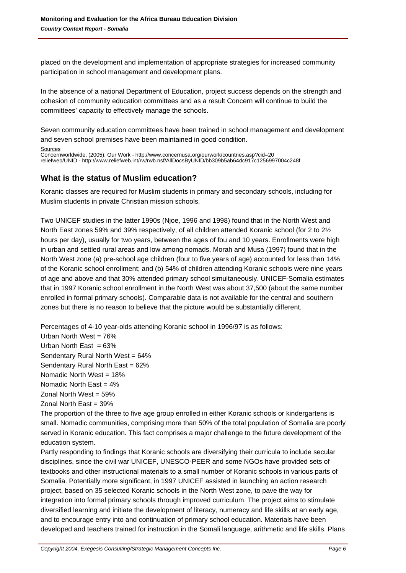placed on the development and implementation of appropriate strategies for increased community participation in school management and development plans.

In the absence of a national Department of Education, project success depends on the strength and cohesion of community education committees and as a result Concern will continue to build the committees' capacity to effectively manage the schools.

Seven community education committees have been trained in school management and development and seven school premises have been maintained in good condition.

#### **Sources**

Concernworldwide, (2005): Our Work - http://www.concernusa.org/ourwork/countries.asp?cid=20 reliefweb/UNID - http://www.reliefweb.int/rw/rwb.nsf/AllDocsByUNID/bb309b5ab64dc917c1256997004c248f

## **What is the status of Muslim education?**

Koranic classes are required for Muslim students in primary and secondary schools, including for Muslim students in private Christian mission schools.

Two UNICEF studies in the latter 1990s (Njoe, 1996 and 1998) found that in the North West and North East zones 59% and 39% respectively, of all children attended Koranic school (for 2 to 2½ hours per day), usually for two years, between the ages of fou and 10 years. Enrollments were high in urban and settled rural areas and low among nomads. Morah and Musa (1997) found that in the North West zone (a) pre-school age children (four to five years of age) accounted for less than 14% of the Koranic school enrollment; and (b) 54% of children attending Koranic schools were nine years of age and above and that 30% attended primary school simultaneously. UNICEF-Somalia estimates that in 1997 Koranic school enrollment in the North West was about 37,500 (about the same number enrolled in formal primary schools). Comparable data is not available for the central and southern zones but there is no reason to believe that the picture would be substantially different.

Percentages of 4-10 year-olds attending Koranic school in 1996/97 is as follows:

Urban North West = 76%

Urban North East  $= 63\%$ 

Sendentary Rural North West = 64%

Sendentary Rural North East = 62%

Nomadic North West = 18%

Nomadic North East  $= 4\%$ 

Zonal North West = 59%

Zonal North East = 39%

The proportion of the three to five age group enrolled in either Koranic schools or kindergartens is small. Nomadic communities, comprising more than 50% of the total population of Somalia are poorly served in Koranic education. This fact comprises a major challenge to the future development of the education system.

Partly responding to findings that Koranic schools are diversifying their curricula to include secular disciplines, since the civil war UNICEF, UNESCO-PEER and some NGOs have provided sets of textbooks and other instructional materials to a small number of Koranic schools in various parts of Somalia. Potentially more significant, in 1997 UNICEF assisted in launching an action research project, based on 35 selected Koranic schools in the North West zone, to pave the way for integration into formal primary schools through improved curriculum. The project aims to stimulate diversified learning and initiate the development of literacy, numeracy and life skills at an early age, and to encourage entry into and continuation of primary school education. Materials have been developed and teachers trained for instruction in the Somali language, arithmetic and life skills. Plans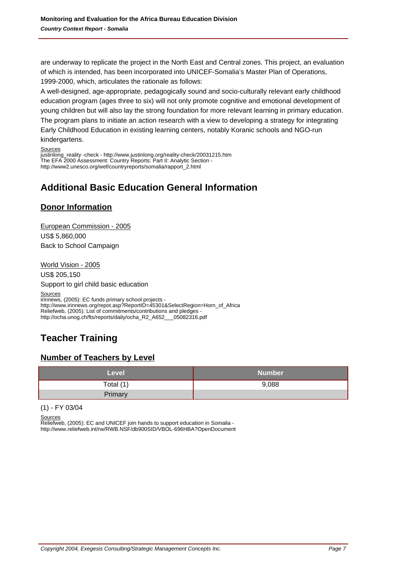are underway to replicate the project in the North East and Central zones. This project, an evaluation of which is intended, has been incorporated into UNICEF-Somalia's Master Plan of Operations, 1999-2000, which, articulates the rationale as follows:

A well-designed, age-appropriate, pedagogically sound and socio-culturally relevant early childhood education program (ages three to six) will not only promote cognitive and emotional development of young children but will also lay the strong foundation for more relevant learning in primary education. The program plans to initiate an action research with a view to developing a strategy for integrating Early Childhood Education in existing learning centers, notably Koranic schools and NGO-run kindergartens.

#### Sources

justinlong\_reality -check - http://www.justinlong.org/reality-check/20031215.htm The EFA 2000 Assessment: Country Reports: Part II: Analytic Section http://www2.unesco.org/wef/countryreports/somalia/rapport\_2.html

# **Additional Basic Education General Information**

## **Donor Information**

European Commission - 2005 US\$ 5,860,000 Back to School Campaign

World Vision - 2005

US\$ 205,150

Support to girl child basic education

Sources

irinnews, (2005): EC funds primary school projects http://www.irinnews.org/repot.asp?ReportID=45301&SelectRegion=Horn\_of\_Africa Reliefweb, (2005): List of commitments/contributions and pledges -<br>http://ocha.unog.ch/fts/reports/daily/ocha\_R2\_A652\_\_05082316.pdf http://ocha.unog.ch/fts/reports/daily/ocha\_R2\_A652\_

# **Teacher Training**

## **Number of Teachers by Level**

| Level     | <b>Number</b> |
|-----------|---------------|
| Total (1) | 9,088         |
| Primary   |               |

(1) - FY 03/04

**Sources** 

Reliefweb, (2005): EC and UNICEF join hands to support education in Somalia http://www.reliefweb.int/rw/RWB.NSF/db900SID/VBOL-696HBA?OpenDocument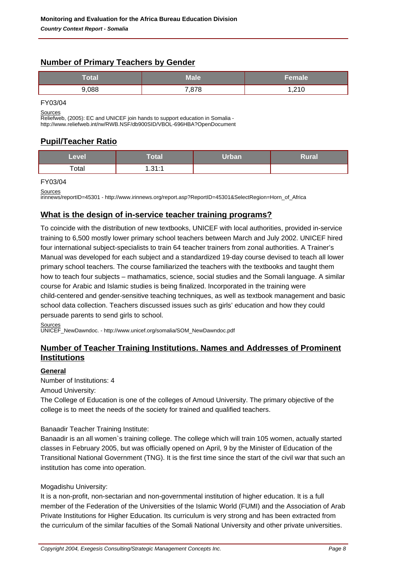## **Number of Primary Teachers by Gender**

| Total | Male  | Female |
|-------|-------|--------|
| 088.  | 7,878 | ,210   |

FY03/04

**Sources** 

Reliefweb, (2005): EC and UNICEF join hands to support education in Somalia http://www.reliefweb.int/rw/RWB.NSF/db900SID/VBOL-696HBA?OpenDocument

## **Pupil/Teacher Ratio**

| Level | Total        | Urban | Rural |
|-------|--------------|-------|-------|
| Total | 1, 21.1<br>. |       |       |

#### FY03/04

Sources

irinnews/reportID=45301 - http://www.irinnews.org/report.asp?ReportID=45301&SelectRegion=Horn\_of\_Africa

## **What is the design of in-service teacher training programs?**

To coincide with the distribution of new textbooks, UNICEF with local authorities, provided in-service training to 6,500 mostly lower primary school teachers between March and July 2002. UNICEF hired four international subject-specialists to train 64 teacher trainers from zonal authorities. A Trainer's Manual was developed for each subject and a standardized 19-day course devised to teach all lower primary school teachers. The course familiarized the teachers with the textbooks and taught them how to teach four subjects – mathamatics, science, social studies and the Somali language. A similar course for Arabic and Islamic studies is being finalized. Incorporated in the training were child-centered and gender-sensitive teaching techniques, as well as textbook management and basic school data collection. Teachers discussed issues such as girls' education and how they could persuade parents to send girls to school.

Sources

UNICEF\_NewDawndoc. - http://www.unicef.org/somalia/SOM\_NewDawndoc.pdf

## **Number of Teacher Training Institutions. Names and Addresses of Prominent Institutions**

### **General**

Number of Institutions: 4

Amoud University:

The College of Education is one of the colleges of Amoud University. The primary objective of the college is to meet the needs of the society for trained and qualified teachers.

Banaadir Teacher Training Institute:

Banaadir is an all women`s training college. The college which will train 105 women, actually started classes in February 2005, but was officially opened on April, 9 by the Minister of Education of the Transitional National Government (TNG). It is the first time since the start of the civil war that such an institution has come into operation.

### Mogadishu University:

It is a non-profit, non-sectarian and non-governmental institution of higher education. It is a full member of the Federation of the Universities of the Islamic World (FUMI) and the Association of Arab Private Institutions for Higher Education. Its curriculum is very strong and has been extracted from the curriculum of the similar faculties of the Somali National University and other private universities.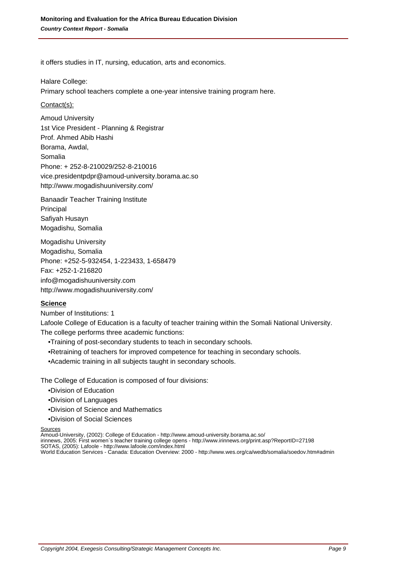it offers studies in IT, nursing, education, arts and economics. 

Halare College:

Primary school teachers complete a one-year intensive training program here.

#### Contact(s):

Amoud University 1st Vice President - Planning & Registrar Prof. Ahmed Abib Hashi Borama, Awdal, Somalia Phone: + 252-8-210029/252-8-210016 vice.presidentpdpr@amoud-university.borama.ac.so http://www.mogadishuuniversity.com/

Banaadir Teacher Training Institute Principal Safiyah Husayn Mogadishu, Somalia

Mogadishu University Mogadishu, Somalia Phone: +252-5-932454, 1-223433, 1-658479 Fax: +252-1-216820 info@mogadishuuniversity.com http://www.mogadishuuniversity.com/

#### **Science**

Number of Institutions: 1

Lafoole College of Education is a faculty of teacher training within the Somali National University. The college performs three academic functions:

- Training of post-secondary students to teach in secondary schools.
- Retraining of teachers for improved competence for teaching in secondary schools.
- Academic training in all subjects taught in secondary schools.

The College of Education is composed of four divisions:

- Division of Education
- • Division of Languages
- Division of Science and Mathematics
- • Division of Social Sciences

#### **Sources**

Amoud-University, (2002): College of Education - http://www.amoud-university.borama.ac.so/

irinnews, 2005: First women`s teacher training college opens - http://www.irinnews.org/print.asp?ReportID=27198

SOTAS, (2005): Lafoole - http://www.lafoole.com/index.html

World Education Services - Canada: Education Overview: 2000 - http://www.wes.org/ca/wedb/somalia/soedov.htm#admin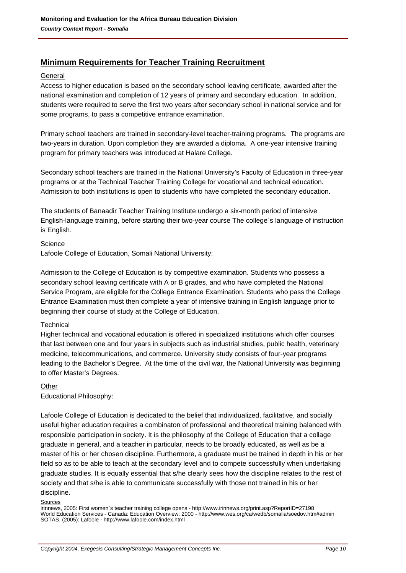## **Minimum Requirements for Teacher Training Recruitment**

#### General

Access to higher education is based on the secondary school leaving certificate, awarded after the national examination and completion of 12 years of primary and secondary education. In addition, students were required to serve the first two years after secondary school in national service and for some programs, to pass a competitive entrance examination.

Primary school teachers are trained in secondary-level teacher-training programs. The programs are two-years in duration. Upon completion they are awarded a diploma. A one-year intensive training program for primary teachers was introduced at Halare College.

Secondary school teachers are trained in the National University's Faculty of Education in three-year programs or at the Technical Teacher Training College for vocational and technical education. Admission to both institutions is open to students who have completed the secondary education.

The students of Banaadir Teacher Training Institute undergo a six-month period of intensive English-language training, before starting their two-year course The college`s language of instruction is English.

#### **Science**

Lafoole College of Education, Somali National University:

Admission to the College of Education is by competitive examination. Students who possess a secondary school leaving certificate with A or B grades, and who have completed the National Service Program, are eligible for the College Entrance Examination. Students who pass the College Entrance Examination must then complete a year of intensive training in English language prior to beginning their course of study at the College of Education.

#### **Technical**

Higher technical and vocational education is offered in specialized institutions which offer courses that last between one and four years in subjects such as industrial studies, public health, veterinary medicine, telecommunications, and commerce. University study consists of four-year programs leading to the Bachelor's Degree. At the time of the civil war, the National University was beginning to offer Master's Degrees.

#### **Other**

Educational Philosophy:

Lafoole College of Education is dedicated to the belief that individualized, facilitative, and socially useful higher education requires a combinaton of professional and theoretical training balanced with responsible participation in society. It is the philosophy of the College of Education that a collage graduate in general, and a teacher in particular, needs to be broadly educated, as well as be a master of his or her chosen discipline. Furthermore, a graduate must be trained in depth in his or her field so as to be able to teach at the secondary level and to compete successfully when undertaking graduate studies. It is equally essential that s/he clearly sees how the discipline relates to the rest of society and that s/he is able to communicate successfully with those not trained in his or her discipline.

#### **Sources**

irinnews, 2005: First women`s teacher training college opens - http://www.irinnews.org/print.asp?ReportID=27198 World Education Services - Canada: Education Overview: 2000 - http://www.wes.org/ca/wedb/somalia/soedov.htm#admin SOTAS, (2005): Lafoole - http://www.lafoole.com/index.html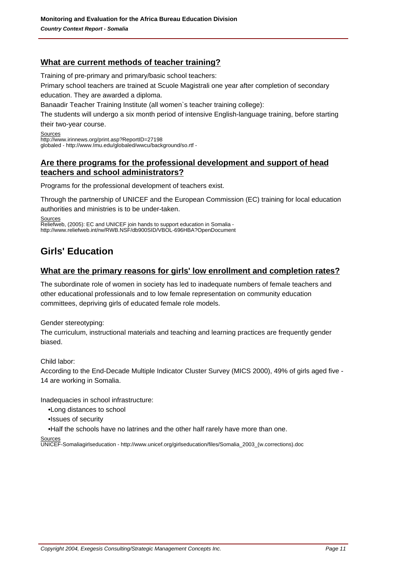## **What are current methods of teacher training?**

Training of pre-primary and primary/basic school teachers:

Primary school teachers are trained at Scuole Magistrali one year after completion of secondary education. They are awarded a diploma.

Banaadir Teacher Training Institute (all women`s teacher training college):

The students will undergo a six month period of intensive English-language training, before starting their two-year course.

Sources http://www.irinnews.org/print.asp?ReportID=27198 globaled - http://www.Imu.edu/globaled/wwcu/background/so.rtf -

## **Are there programs for the professional development and support of head teachers and school administrators?**

Programs for the professional development of teachers exist.

Through the partnership of UNICEF and the European Commission (EC) training for local education

authorities and ministries is to be under-taken.

Sources

Reliefweb, (2005): EC and UNICEF join hands to support education in Somalia http://www.reliefweb.int/rw/RWB.NSF/db900SID/VBOL-696HBA?OpenDocument

# **Girls' Education**

## **What are the primary reasons for girls' low enrollment and completion rates?**

The subordinate role of women in society has led to inadequate numbers of female teachers and other educational professionals and to low female representation on community education committees, depriving girls of educated female role models.

Gender stereotyping:

The curriculum, instructional materials and teaching and learning practices are frequently gender biased.

Child labor:

According to the End-Decade Multiple Indicator Cluster Survey (MICS 2000), 49% of girls aged five - 14 are working in Somalia.

Inadequacies in school infrastructure:

- • Long distances to school
- • Issues of security

• Half the schools have no latrines and the other half rarely have more than one.

Source

UNICEF-Somaliagirlseducation - http://www.unicef.org/girlseducation/files/Somalia\_2003\_(w.corrections).doc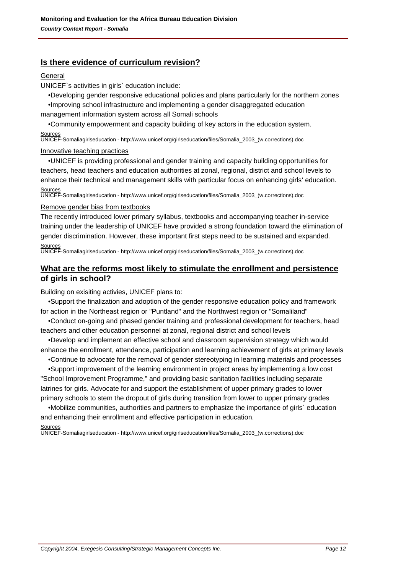## **Is there evidence of curriculum revision?**

#### General

UNICEF`s activities in girls` education include:

- • Developing gender responsive educational policies and plans particularly for the northern zones
- • Improving school infrastructure and implementing a gender disaggregated education management information system across all Somali schools

 • Community empowerment and capacity building of key actors in the education system. **Sources** 

UNICEF-Somaliagirlseducation - http://www.unicef.org/girlseducation/files/Somalia\_2003\_(w.corrections).doc

#### Innovative teaching practices

 • UNICEF is providing professional and gender training and capacity building opportunities for teachers, head teachers and education authorities at zonal, regional, district and school levels to enhance their technical and management skills with particular focus on enhancing girls' education. Sources

UNICEF-Somaliagirlseducation - http://www.unicef.org/girlseducation/files/Somalia\_2003\_(w.corrections).doc

#### Remove gender bias from textbooks

The recently introduced lower primary syllabus, textbooks and accompanying teacher in-service training under the leadership of UNICEF have provided a strong foundation toward the elimination of gender discrimination. However, these important first steps need to be sustained and expanded. Sources

UNICEF-Somaliagirlseducation - http://www.unicef.org/girlseducation/files/Somalia\_2003\_(w.corrections).doc

## **What are the reforms most likely to stimulate the enrollment and persistence of girls in school?**

Building on exisiting activies, UNICEF plans to:

 • Support the finalization and adoption of the gender responsive education policy and framework for action in the Northeast region or "Puntland" and the Northwest region or "Somaliland"

 • Conduct on-going and phased gender training and professional development for teachers, head teachers and other education personnel at zonal, regional district and school levels

 • Develop and implement an effective school and classroom supervision strategy which would enhance the enrollment, attendance, participation and learning achievement of girls at primary levels

• Continue to advocate for the removal of gender stereotyping in learning materials and processes

 • Support improvement of the learning environment in project areas by implementing a low cost "School Improvement Programme," and providing basic sanitation facilities including separate latrines for girls. Advocate for and support the establishment of upper primary grades to lower primary schools to stem the dropout of girls during transition from lower to upper primary grades

 • Mobilize communities, authorities and partners to emphasize the importance of girls` education and enhancing their enrollment and effective participation in education.

Sources UNICEF-Somaliagirlseducation - http://www.unicef.org/girlseducation/files/Somalia\_2003\_(w.corrections).doc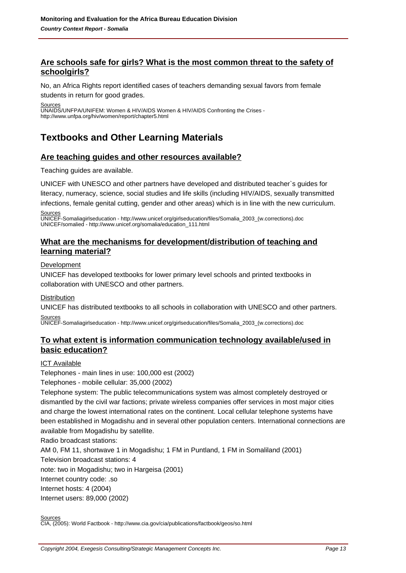## **Are schools safe for girls? What is the most common threat to the safety of schoolgirls?**

No, an Africa Rights report identified cases of teachers demanding sexual favors from female

students in return for good grades.

Sources

UNAIDS/UNFPA/UNIFEM: Women & HIV/AIDS Women & HIV/AIDS Confronting the Crises http://www.unfpa.org/hiv/women/report/chapter5.html

# **Textbooks and Other Learning Materials**

## **Are teaching guides and other resources available?**

Teaching guides are available.

UNICEF with UNESCO and other partners have developed and distributed teacher`s guides for

literacy, numeracy, science, social studies and life skills (including HIV/AIDS, sexually transmitted infections, female genital cutting, gender and other areas) which is in line with the new curriculum.

**Sources** 

UNICEF-Somaliagirlseducation - http://www.unicef.org/girlseducation/files/Somalia\_2003\_(w.corrections).doc UNICEF/somalied - http://www.unicef.org/somalia/education\_111.html

## **What are the mechanisms for development/distribution of teaching and learning material?**

Development

UNICEF has developed textbooks for lower primary level schools and printed textbooks in collaboration with UNESCO and other partners.

### **Distribution**

UNICEF has distributed textbooks to all schools in collaboration with UNESCO and other partners. Sources

UNICEF-Somaliagirlseducation - http://www.unicef.org/girlseducation/files/Somalia\_2003\_(w.corrections).doc

## **To what extent is information communication technology available/used in basic education?**

### ICT Available

Telephones - main lines in use: 100,000 est (2002)

Telephones - mobile cellular: 35,000 (2002)

Telephone system: The public telecommunications system was almost completely destroyed or dismantled by the civil war factions; private wireless companies offer services in most major cities and charge the lowest international rates on the continent. Local cellular telephone systems have been established in Mogadishu and in several other population centers. International connections are available from Mogadishu by satellite.

Radio broadcast stations:

AM 0, FM 11, shortwave 1 in Mogadishu; 1 FM in Puntland, 1 FM in Somaliland (2001) Television broadcast stations: 4 note: two in Mogadishu; two in Hargeisa (2001)

Internet country code: .so

Internet hosts: 4 (2004)

Internet users: 89,000 (2002)

Sources

CIA, (2005): World Factbook - http://www.cia.gov/cia/publications/factbook/geos/so.html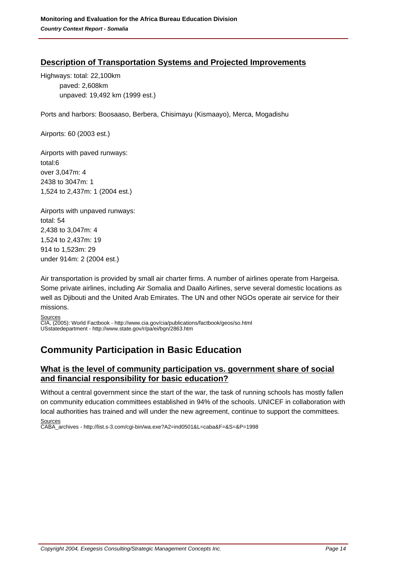## **Description of Transportation Systems and Projected Improvements**

Highways: total: 22,100km paved: 2,608km unpaved: 19,492 km (1999 est.)

Ports and harbors: Boosaaso, Berbera, Chisimayu (Kismaayo), Merca, Mogadishu

Airports: 60 (2003 est.)

Airports with paved runways: total:6 over 3,047m: 4 2438 to 3047m: 1 1,524 to 2,437m: 1 (2004 est.)

Airports with unpaved runways: total: 54 2,438 to 3,047m: 4 1,524 to 2,437m: 19 914 to 1,523m: 29 under 914m: 2 (2004 est.)

Air transportation is provided by small air charter firms. A number of airlines operate from Hargeisa. Some private airlines, including Air Somalia and Daallo Airlines, serve several domestic locations as well as Djibouti and the United Arab Emirates. The UN and other NGOs operate air service for their missions.

**Sources** 

CIA, (2005): World Factbook - http://www.cia.gov/cia/publications/factbook/geos/so.html USstatedepartment - http://www.state.gov/r/pa/ei/bgn/2863.htm

# **Community Participation in Basic Education**

## **What is the level of community participation vs. government share of social and financial responsibility for basic education?**

Without a central government since the start of the war, the task of running schools has mostly fallen on community education committees established in 94% of the schools. UNICEF in collaboration with local authorities has trained and will under the new agreement, continue to support the committees. **Sources** 

CABA\_archives - http://list.s-3.com/cgi-bin/wa.exe?A2=ind0501&L=caba&F=&S=&P=1998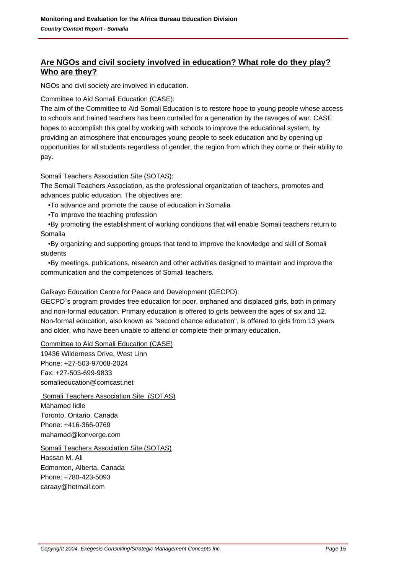## **Are NGOs and civil society involved in education? What role do they play? Who are they?**

NGOs and civil society are involved in education.

#### Committee to Aid Somali Education (CASE):

The aim of the Committee to Aid Somali Education is to restore hope to young people whose access to schools and trained teachers has been curtailed for a generation by the ravages of war. CASE hopes to accomplish this goal by working with schools to improve the educational system, by providing an atmosphere that encourages young people to seek education and by opening up opportunities for all students regardless of gender, the region from which they come or their ability to pay.

Somali Teachers Association Site (SOTAS):

The Somali Teachers Association, as the professional organization of teachers, promotes and advances public education. The objectives are:

- To advance and promote the cause of education in Somalia
- To improve the teaching profession

 • By promoting the establishment of working conditions that will enable Somali teachers return to Somalia

 • By organizing and supporting groups that tend to improve the knowledge and skill of Somali students

 • By meetings, publications, research and other activities designed to maintain and improve the communication and the competences of Somali teachers.

### Galkayo Education Centre for Peace and Development (GECPD):

GECPD`s program provides free education for poor, orphaned and displaced girls, both in primary and non-formal education. Primary education is offered to girls between the ages of six and 12. Non-formal education, also known as "second chance education", is offered to girls from 13 years and older, who have been unable to attend or complete their primary education.

Committee to Aid Somali Education (CASE)

19436 Wilderness Drive, West Linn Phone: +27-503-97068-2024 Fax: +27-503-699-9833 somalieducation@comcast.net

 Somali Teachers Association Site (SOTAS) Mahamed Iidle Toronto, Ontario. Canada Phone: +416-366-0769 mahamed@konverge.com

Somali Teachers Association Site (SOTAS) Hassan M. Ali Edmonton, Alberta. Canada Phone: +780-423-5093 caraay@hotmail.com